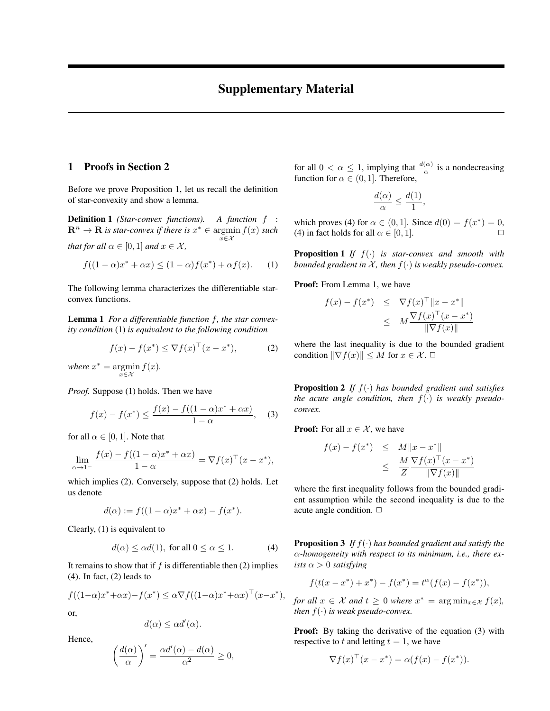## 1 Proofs in Section 2

Before we prove Proposition 1, let us recall the definition of star-convexity and show a lemma.

Definition 1 *(Star-convex functions). A function* f :  $\mathbf{R}^n \to \mathbf{R}$  *is star-convex if there is*  $x^* \in \text{argmin} f(x)$  *such* x∈X *that for all*  $\alpha \in [0, 1]$  *and*  $x \in \mathcal{X}$ *,* 

$$
f((1 - \alpha)x^* + \alpha x) \le (1 - \alpha)f(x^*) + \alpha f(x). \tag{1}
$$

The following lemma characterizes the differentiable starconvex functions.

Lemma 1 *For a differentiable function* f*, the star convexity condition* (1) *is equivalent to the following condition*

$$
f(x) - f(x^*) \le \nabla f(x)^\top (x - x^*),\tag{2}
$$

where  $x^* = \operatorname{argmin} f(x)$ .  $x \in \mathcal{X}$ 

*Proof.* Suppose (1) holds. Then we have

$$
f(x) - f(x^*) \le \frac{f(x) - f((1 - \alpha)x^* + \alpha x)}{1 - \alpha}, \quad (3)
$$

for all  $\alpha \in [0, 1]$ . Note that

$$
\lim_{\alpha \to 1^-} \frac{f(x) - f((1 - \alpha)x^* + \alpha x)}{1 - \alpha} = \nabla f(x)^\top (x - x^*),
$$

which implies (2). Conversely, suppose that (2) holds. Let us denote

$$
d(\alpha) := f((1 - \alpha)x^* + \alpha x) - f(x^*).
$$

Clearly, (1) is equivalent to

$$
d(\alpha) \le \alpha d(1), \text{ for all } 0 \le \alpha \le 1. \tag{4}
$$

It remains to show that if  $f$  is differentiable then (2) implies (4). In fact, (2) leads to

$$
f((1-\alpha)x^* + \alpha x) - f(x^*) \le \alpha \nabla f((1-\alpha)x^* + \alpha x)^\top (x - x^*),
$$
 or

or,

$$
d(\alpha) \le \alpha d'(\alpha).
$$

Hence,

$$
\left(\frac{d(\alpha)}{\alpha}\right)' = \frac{\alpha d'(\alpha) - d(\alpha)}{\alpha^2} \ge 0,
$$

for all  $0 < \alpha \leq 1$ , implying that  $\frac{d(\alpha)}{\alpha}$  is a nondecreasing function for  $\alpha \in (0, 1]$ . Therefore,

$$
\frac{d(\alpha)}{\alpha} \le \frac{d(1)}{1},
$$

which proves (4) for  $\alpha \in (0, 1]$ . Since  $d(0) = f(x^*) = 0$ , (4) in fact holds for all  $\alpha \in [0, 1]$ .

Proposition 1 *If* f(·) *is star-convex and smooth with bounded gradient in*  $X$ *, then*  $f(\cdot)$  *is weakly pseudo-convex.* 

**Proof:** From Lemma 1, we have

$$
f(x) - f(x^*) \leq \nabla f(x)^\top ||x - x^*||
$$
  

$$
\leq M \frac{\nabla f(x)^\top (x - x^*)}{\|\nabla f(x)\|}
$$

where the last inequality is due to the bounded gradient condition  $\|\nabla f(x)\| \leq M$  for  $x \in \mathcal{X}$ .  $\Box$ 

Proposition 2 *If* f(·) *has bounded gradient and satisfies the acute angle condition, then* f(·) *is weakly pseudoconvex.*

**Proof:** For all  $x \in \mathcal{X}$ , we have

$$
f(x) - f(x^*) \leq M \|x - x^*\|
$$
  

$$
\leq \frac{M \nabla f(x)^\top (x - x^*)}{Z \nabla f(x) \|}
$$

where the first inequality follows from the bounded gradient assumption while the second inequality is due to the acute angle condition.  $\Box$ 

Proposition 3 *If* f(·) *has bounded gradient and satisfy the* α*-homogeneity with respect to its minimum, i.e., there exists*  $\alpha > 0$  *satisfying* 

$$
f(t(x - x^*) + x^*) - f(x^*) = t^{\alpha}(f(x) - f(x^*)),
$$

*for all*  $x \in \mathcal{X}$  *and*  $t \geq 0$  *where*  $x^* = \arg \min_{x \in \mathcal{X}} f(x)$ *, then*  $f(\cdot)$  *is weak pseudo-convex.* 

**Proof:** By taking the derivative of the equation (3) with respective to t and letting  $t = 1$ , we have

$$
\nabla f(x)^\top (x - x^*) = \alpha (f(x) - f(x^*)).
$$